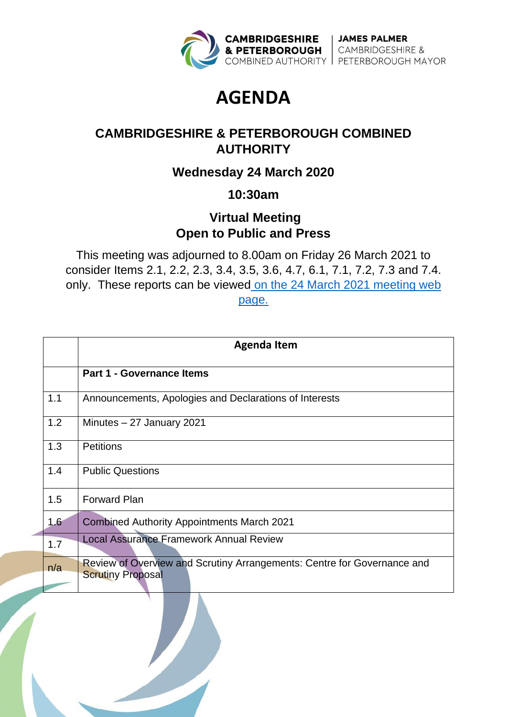

# **AGENDA**

# **CAMBRIDGESHIRE & PETERBOROUGH COMBINED AUTHORITY**

## **Wednesday 24 March 2020**

### **10:30am**

### **Virtual Meeting Open to Public and Press**

This meeting was adjourned to 8.00am on Friday 26 March 2021 to consider Items 2.1, 2.2, 2.3, 3.4, 3.5, 3.6, 4.7, 6.1, 7.1, 7.2, 7.3 and 7.4. only. These reports can be viewed on the 24 March 2021 meeting web [page.](https://cambridgeshirepeterboroughcagov.cmis.uk.com/Meetings/tabid/70/ctl/ViewMeetingPublic/mid/397/Meeting/1984/Committee/63/SelectedTab/Documents/Default.aspx)

|     | <b>Agenda Item</b>                                                                                  |
|-----|-----------------------------------------------------------------------------------------------------|
|     | <b>Part 1 - Governance Items</b>                                                                    |
| 1.1 | Announcements, Apologies and Declarations of Interests                                              |
| 1.2 | Minutes $-27$ January 2021                                                                          |
| 1.3 | <b>Petitions</b>                                                                                    |
| 1.4 | <b>Public Questions</b>                                                                             |
| 1.5 | <b>Forward Plan</b>                                                                                 |
| 1.6 | <b>Combined Authority Appointments March 2021</b>                                                   |
| 1.7 | <b>Local Assurance Framework Annual Review</b>                                                      |
| n/a | Review of Overview and Scrutiny Arrangements: Centre for Governance and<br><b>Scrutiny Proposal</b> |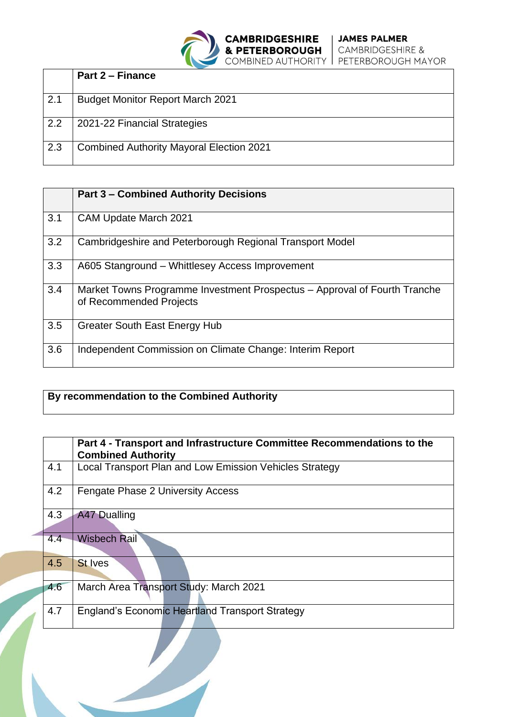|     | <b>Part 2 – Finance</b>                         |
|-----|-------------------------------------------------|
| 2.1 | <b>Budget Monitor Report March 2021</b>         |
| 2.2 | 2021-22 Financial Strategies                    |
| 2.3 | <b>Combined Authority Mayoral Election 2021</b> |

|     | <b>Part 3 – Combined Authority Decisions</b>                                                         |
|-----|------------------------------------------------------------------------------------------------------|
| 3.1 | <b>CAM Update March 2021</b>                                                                         |
| 3.2 | Cambridgeshire and Peterborough Regional Transport Model                                             |
| 3.3 | A605 Stanground - Whittlesey Access Improvement                                                      |
| 3.4 | Market Towns Programme Investment Prospectus – Approval of Fourth Tranche<br>of Recommended Projects |
| 3.5 | <b>Greater South East Energy Hub</b>                                                                 |
| 3.6 | Independent Commission on Climate Change: Interim Report                                             |

#### **By recommendation to the Combined Authority**

|     | Part 4 - Transport and Infrastructure Committee Recommendations to the<br><b>Combined Authority</b> |
|-----|-----------------------------------------------------------------------------------------------------|
| 4.1 | Local Transport Plan and Low Emission Vehicles Strategy                                             |
| 4.2 | <b>Fengate Phase 2 University Access</b>                                                            |
| 4.3 | A47 Dualling                                                                                        |
| 4.4 | <b>Wisbech Rail</b>                                                                                 |
| 4.5 | <b>St Ives</b>                                                                                      |
| 4.6 | March Area Transport Study: March 2021                                                              |
| 4.7 | <b>England's Economic Heartland Transport Strategy</b>                                              |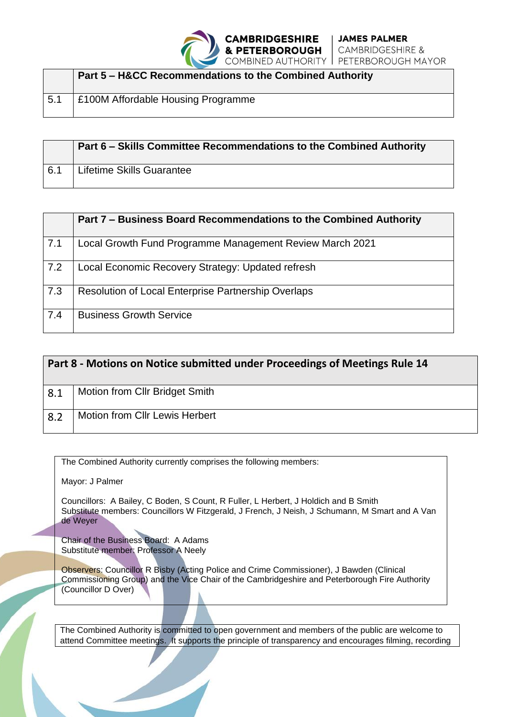

|     | <b>Part 5 - H&amp;CC Recommendations to the Combined Authority</b> |
|-----|--------------------------------------------------------------------|
| 5.1 | E100M Affordable Housing Programme                                 |

|     | Part 6 - Skills Committee Recommendations to the Combined Authority |
|-----|---------------------------------------------------------------------|
| 6.1 | Lifetime Skills Guarantee                                           |

|     | Part 7 – Business Board Recommendations to the Combined Authority |
|-----|-------------------------------------------------------------------|
| 7.1 | Local Growth Fund Programme Management Review March 2021          |
| 7.2 | Local Economic Recovery Strategy: Updated refresh                 |
| 7.3 | <b>Resolution of Local Enterprise Partnership Overlaps</b>        |
| 7.4 | <b>Business Growth Service</b>                                    |

| Part 8 - Motions on Notice submitted under Proceedings of Meetings Rule 14 |                                       |
|----------------------------------------------------------------------------|---------------------------------------|
| 8.1                                                                        | Motion from CIIr Bridget Smith        |
| 8.2                                                                        | <b>Motion from Cllr Lewis Herbert</b> |

The Combined Authority currently comprises the following members:

Mayor: J Palmer

Councillors: A Bailey, C Boden, S Count, R Fuller, L Herbert, J Holdich and B Smith Substitute members: Councillors W Fitzgerald, J French, J Neish, J Schumann, M Smart and A Van de Weyer

Chair of the Business Board: A Adams Substitute member: Professor A Neely

Observers: Councillor R Bisby (Acting Police and Crime Commissioner), J Bawden (Clinical Commissioning Group) and the Vice Chair of the Cambridgeshire and Peterborough Fire Authority (Councillor D Over)

The Combined Authority is committed to open government and members of the public are welcome to attend Committee meetings. It supports the principle of transparency and encourages filming, recording